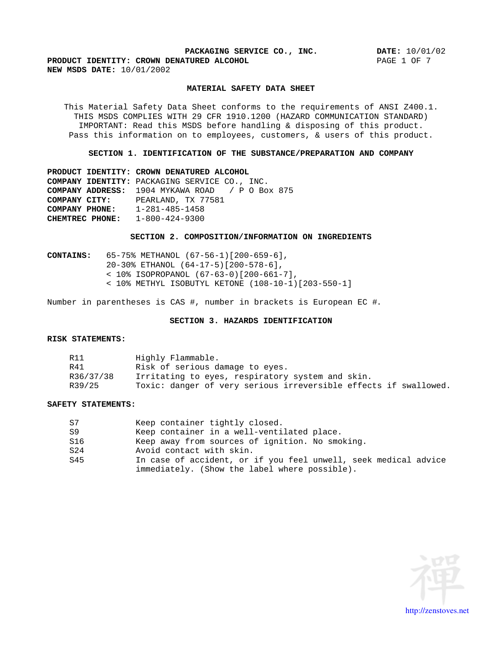**PRODUCT IDENTITY: CROWN DENATURED ALCOHOL PAGE 1 OF 7 PAGE 1 OF 7 NEW MSDS DATE:** 10/01/2002

## **MATERIAL SAFETY DATA SHEET**

This Material Safety Data Sheet conforms to the requirements of ANSI Z400.1. THIS MSDS COMPLIES WITH 29 CFR 1910.1200 (HAZARD COMMUNICATION STANDARD) IMPORTANT: Read this MSDS before handling & disposing of this product. Pass this information on to employees, customers, & users of this product.

**SECTION 1. IDENTIFICATION OF THE SUBSTANCE/PREPARATION AND COMPANY**

**PRODUCT IDENTITY: CROWN DENATURED ALCOHOL COMPANY IDENTITY:** PACKAGING SERVICE CO., INC. **COMPANY ADDRESS:** 1904 MYKAWA ROAD / P O Box 875 **COMPANY CITY:** PEARLAND, TX 77581 **COMPANY PHONE:** 1-281-485-1458 **CHEMTREC PHONE:** 1-800-424-9300

#### **SECTION 2. COMPOSITION/INFORMATION ON INGREDIENTS**

**CONTAINS:** 65-75% METHANOL (67-56-1)[200-659-6], 20-30% ETHANOL (64-17-5)[200-578-6], < 10% ISOPROPANOL (67-63-0)[200-661-7], < 10% METHYL ISOBUTYL KETONE (108-10-1)[203-550-1]

Number in parentheses is CAS #, number in brackets is European EC #.

# **SECTION 3. HAZARDS IDENTIFICATION**

### **RISK STATEMENTS:**

|        | Highly Flammable.                                                |
|--------|------------------------------------------------------------------|
|        | Risk of serious damage to eyes.                                  |
|        | R36/37/38 Irritating to eyes, respiratory system and skin.       |
| R39/25 | Toxic: danger of very serious irreversible effects if swallowed. |

### **SAFETY STATEMENTS:**

| Keep container tightly closed.                                  |
|-----------------------------------------------------------------|
| Keep container in a well-ventilated place.                      |
| Keep away from sources of ignition. No smoking.                 |
| Avoid contact with skin.                                        |
| In case of accident, or if you feel unwell, seek medical advice |
| immediately. (Show the label where possible).                   |



[http://zenstoves.net](http://zenstoves.net/)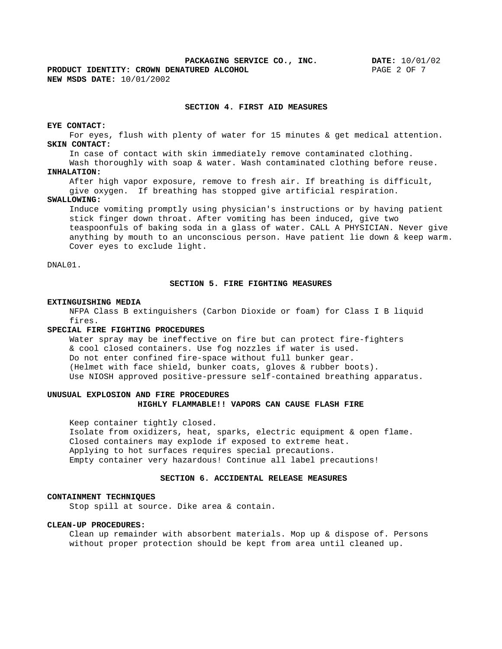**PRODUCT IDENTITY: CROWN DENATURED ALCOHOL** PAGE 2 OF 7 **NEW MSDS DATE:** 10/01/2002

## **SECTION 4. FIRST AID MEASURES**

### **EYE CONTACT:**

For eyes, flush with plenty of water for 15 minutes & get medical attention. **SKIN CONTACT:** 

In case of contact with skin immediately remove contaminated clothing.

Wash thoroughly with soap & water. Wash contaminated clothing before reuse. **INHALATION:** 

After high vapor exposure, remove to fresh air. If breathing is difficult,

give oxygen. If breathing has stopped give artificial respiration.

### **SWALLOWING:**

Induce vomiting promptly using physician's instructions or by having patient stick finger down throat. After vomiting has been induced, give two teaspoonfuls of baking soda in a glass of water. CALL A PHYSICIAN. Never give anything by mouth to an unconscious person. Have patient lie down & keep warm. Cover eyes to exclude light.

### $\texttt{DNAL01}.$

#### **SECTION 5. FIRE FIGHTING MEASURES**

### **EXTINGUISHING MEDIA**

NFPA Class B extinguishers (Carbon Dioxide or foam) for Class I B liquid fires.

#### **SPECIAL FIRE FIGHTING PROCEDURES**

Water spray may be ineffective on fire but can protect fire-fighters & cool closed containers. Use fog nozzles if water is used. Do not enter confined fire-space without full bunker gear. (Helmet with face shield, bunker coats, gloves & rubber boots). Use NIOSH approved positive-pressure self-contained breathing apparatus.

### **UNUSUAL EXPLOSION AND FIRE PROCEDURES HIGHLY FLAMMABLE!! VAPORS CAN CAUSE FLASH FIRE**

Keep container tightly closed.

Isolate from oxidizers, heat, sparks, electric equipment & open flame. Closed containers may explode if exposed to extreme heat. Applying to hot surfaces requires special precautions. Empty container very hazardous! Continue all label precautions!

## **SECTION 6. ACCIDENTAL RELEASE MEASURES**

### **CONTAINMENT TECHNIQUES**

Stop spill at source. Dike area & contain.

### **CLEAN-UP PROCEDURES:**

Clean up remainder with absorbent materials. Mop up & dispose of. Persons without proper protection should be kept from area until cleaned up.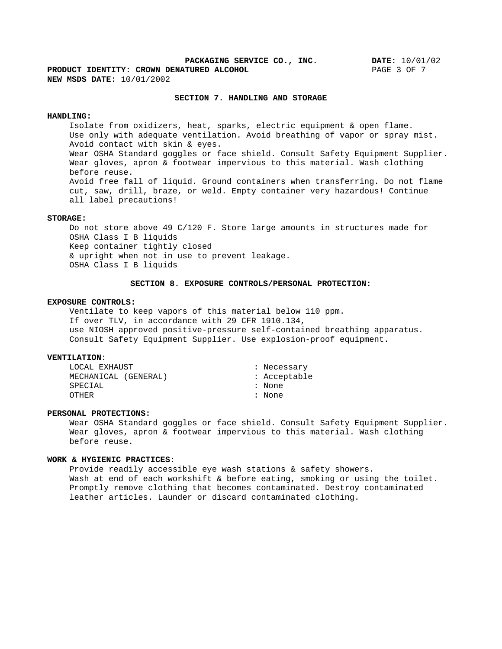**PACKAGING SERVICE CO., INC. DATE:** 10/01/02 **PRODUCT IDENTITY: CROWN DENATURED ALCOHOL** PAGE 3 OF 7 **NEW MSDS DATE:** 10/01/2002

### **SECTION 7. HANDLING AND STORAGE**

### **HANDLING:**

Isolate from oxidizers, heat, sparks, electric equipment & open flame. Use only with adequate ventilation. Avoid breathing of vapor or spray mist. Avoid contact with skin & eyes. Wear OSHA Standard goggles or face shield. Consult Safety Equipment Supplier. Wear gloves, apron & footwear impervious to this material. Wash clothing before reuse. Avoid free fall of liquid. Ground containers when transferring. Do not flame cut, saw, drill, braze, or weld. Empty container very hazardous! Continue all label precautions!

### **STORAGE:**

Do not store above 49 C/120 F. Store large amounts in structures made for OSHA Class I B liquids Keep container tightly closed & upright when not in use to prevent leakage. OSHA Class I B liquids

#### **SECTION 8. EXPOSURE CONTROLS/PERSONAL PROTECTION:**

### **EXPOSURE CONTROLS:**

Ventilate to keep vapors of this material below 110 ppm. If over TLV, in accordance with 29 CFR 1910.134, use NIOSH approved positive-pressure self-contained breathing apparatus. Consult Safety Equipment Supplier. Use explosion-proof equipment.

### **VENTILATION:**

| LOCAL EXHAUST        | Necessary  |  |  |
|----------------------|------------|--|--|
| MECHANICAL (GENERAL) | Acceptable |  |  |
| ${\tt SPECIAL}$      | None       |  |  |
| OTHER                | None       |  |  |
|                      |            |  |  |

### **PERSONAL PROTECTIONS:**

Wear OSHA Standard goggles or face shield. Consult Safety Equipment Supplier. Wear gloves, apron & footwear impervious to this material. Wash clothing before reuse.

### **WORK & HYGIENIC PRACTICES:**

Provide readily accessible eye wash stations & safety showers. Wash at end of each workshift & before eating, smoking or using the toilet. Promptly remove clothing that becomes contaminated. Destroy contaminated leather articles. Launder or discard contaminated clothing.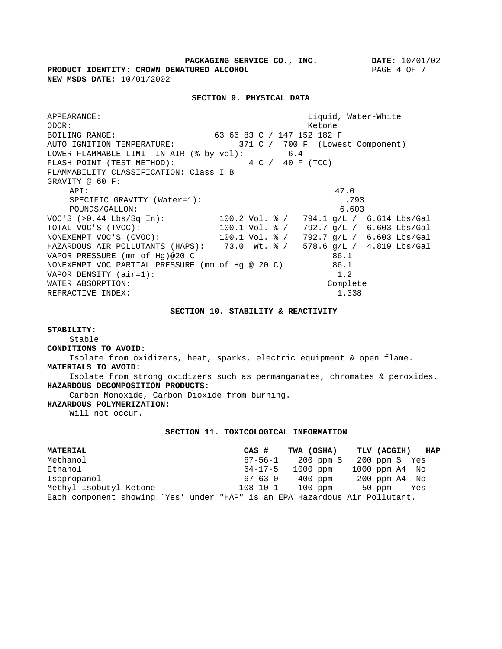**PACKAGING SERVICE CO., INC. DATE:** 10/01/02 **PRODUCT IDENTITY: CROWN DENATURED ALCOHOL** PAGE 4 OF 7 **NEW MSDS DATE:** 10/01/2002

### **SECTION 9. PHYSICAL DATA**

APPEARANCE: Liquid, Water-White ODOR: Ketone BOILING RANGE: 63 66 83 C / 147 152 182 F AUTO IGNITION TEMPERATURE: 371 C / 700 F (Lowest Component) LOWER FLAMMABLE LIMIT IN AIR (% by vol): 6.4<br>FLASH POINT (TEST METHOD): 4 C / 40 F (TCC) FLASH POINT (TEST METHOD): 4 C / 40 F (TCC) FLAMMABILITY CLASSIFICATION: Class I B GRAVITY @ 60 F: API: 47.0 SPECIFIC GRAVITY (Water=1): .793 POUNDS/GALLON: 6.603 VOC'S (>0.44 Lbs/Sq In): 100.2 Vol. % / 794.1 g/L / 6.614 Lbs/Gal TOTAL VOC'S (TVOC): 100.1 Vol. % / 792.7 g/L / 6.603 Lbs/Gal NONEXEMPT VOC'S (CVOC): 100.1 Vol. % / 792.7 g/L / 6.603 Lbs/Gal<br>NONEXEMPT VOC'S (CVOC): 100.1 Vol. % / 792.7 g/L / 6.603 Lbs/Gal HAZARDOUS AIR POLLUTANTS (HAPS): 73.0 Wt. % / 578.6 g/L / 4.819 Lbs/Gal VAPOR PRESSURE (mm of Hg)@20 C 86.1 NONEXEMPT VOC PARTIAL PRESSURE (mm of Hg @ 20 C) 86.1 VAPOR DENSITY (air=1): 1.2 WATER ABSORPTION: Complete REFRACTIVE INDEX:  $1.338$ 

#### **SECTION 10. STABILITY & REACTIVITY**

**STABILITY:**

# Stable and the stable of the stable stable stable stable stable stable stable stable stable stable stable stable **CONDITIONS TO AVOID:**

Isolate from oxidizers, heat, sparks, electric equipment & open flame. **MATERIALS TO AVOID:** 

Isolate from strong oxidizers such as permanganates, chromates & peroxides. **HAZARDOUS DECOMPOSITION PRODUCTS:** 

Carbon Monoxide, Carbon Dioxide from burning.

**HAZARDOUS POLYMERIZATION:** 

Will not occur.

### **SECTION 11. TOXICOLOGICAL INFORMATION**

| <b>MATERIAL</b>                                                             |  | CAS # TWA (OSHA) TLV (ACGIH) HAP |  |
|-----------------------------------------------------------------------------|--|----------------------------------|--|
| Methanol                                                                    |  | 67-56-1 200 ppm S 200 ppm S Yes  |  |
| Ethanol                                                                     |  | 64-17-5 1000 ppm 1000 ppm A4 No  |  |
| Isopropanol                                                                 |  | 67-63-0 400 ppm 200 ppm A4 No    |  |
| Methyl Isobutyl Ketone                                                      |  | 108-10-1 100 ppm 50 ppm Yes      |  |
| Each component showing `Yes' under "HAP" is an EPA Hazardous Air Pollutant. |  |                                  |  |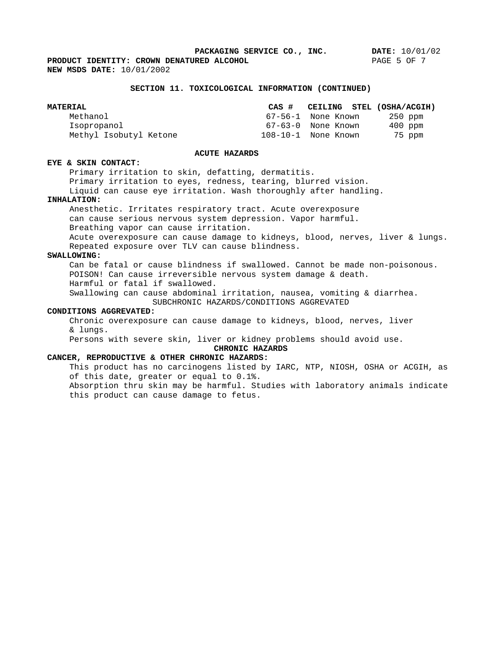**PRODUCT IDENTITY: CROWN DENATURED ALCOHOL** PAGE 5 OF 7 **NEW MSDS DATE:** 10/01/2002

#### **SECTION 11. TOXICOLOGICAL INFORMATION (CONTINUED)**

| <b>MATERIAL</b>        | CEILING STEL (OSHA/ACGIH)     |  |
|------------------------|-------------------------------|--|
| Methanol               | 67-56-1 None Known<br>250 ppm |  |
| Isopropanol            | 67-63-0 None Known<br>400 ppm |  |
| Methyl Isobutyl Ketone | 08-10-1 None Known<br>75 ppm  |  |

### **ACUTE HAZARDS**

### **EYE & SKIN CONTACT:**

Primary irritation to skin, defatting, dermatitis.

Primary irritation to eyes, redness, tearing, blurred vision.

Liquid can cause eye irritation. Wash thoroughly after handling.

### **INHALATION:**

Anesthetic. Irritates respiratory tract. Acute overexposure can cause serious nervous system depression. Vapor harmful. Breathing vapor can cause irritation. Acute overexposure can cause damage to kidneys, blood, nerves, liver & lungs.

Repeated exposure over TLV can cause blindness.

### **SWALLOWING:**

Can be fatal or cause blindness if swallowed. Cannot be made non-poisonous. POISON! Can cause irreversible nervous system damage & death. Harmful or fatal if swallowed. Swallowing can cause abdominal irritation, nausea, vomiting & diarrhea.

SUBCHRONIC HAZARDS/CONDITIONS AGGREVATED

### **CONDITIONS AGGREVATED:**

Chronic overexposure can cause damage to kidneys, blood, nerves, liver & lungs.

Persons with severe skin, liver or kidney problems should avoid use.

### **CHRONIC HAZARDS**

## **CANCER, REPRODUCTIVE & OTHER CHRONIC HAZARDS:**

This product has no carcinogens listed by IARC, NTP, NIOSH, OSHA or ACGIH, as of this date, greater or equal to 0.1%. Absorption thru skin may be harmful. Studies with laboratory animals indicate this product can cause damage to fetus.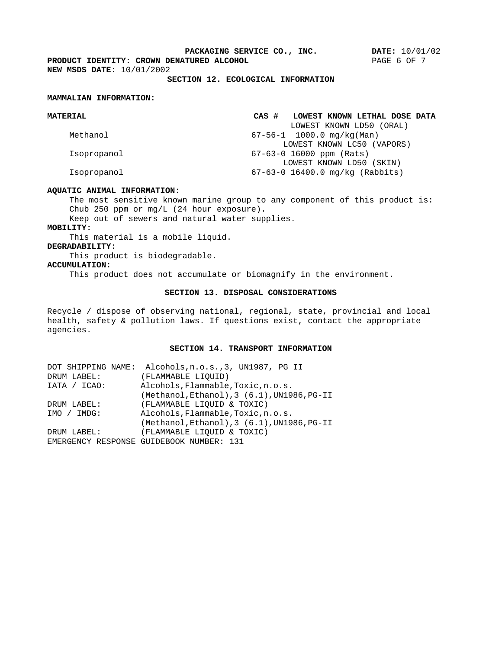**PRODUCT IDENTITY: CROWN DENATURED ALCOHOL PAGE 6 OF 7 NEW MSDS DATE:** 10/01/2002 **NEW MSDS DATE:** 10/01/2002

## **SECTION 12. ECOLOGICAL INFORMATION**

### **MAMMALIAN INFORMATION:**

| <b>MATERIAL</b> | LOWEST KNOWN LETHAL DOSE DATA   |
|-----------------|---------------------------------|
|                 | LOWEST KNOWN LD50 (ORAL)        |
| Methanol        | 67-56-1 1000.0 mg/kg(Man)       |
|                 | LOWEST KNOWN LC50 (VAPORS)      |
| Isopropanol     | 67-63-0 16000 ppm (Rats)        |
|                 | LOWEST KNOWN LD50 (SKIN)        |
| Isopropanol     | 67-63-0 16400.0 mg/kg (Rabbits) |
|                 |                                 |

### **AQUATIC ANIMAL INFORMATION:**

The most sensitive known marine group to any component of this product is: Chub 250 ppm or mg/L (24 hour exposure).

Keep out of sewers and natural water supplies.

### **MOBILITY:**

This material is a mobile liquid.

### **DEGRADABILITY:**

This product is biodegradable.

**ACCUMULATION:** 

This product does not accumulate or biomagnify in the environment.

# **SECTION 13. DISPOSAL CONSIDERATIONS**

Recycle / dispose of observing national, regional, state, provincial and local health, safety & pollution laws. If questions exist, contact the appropriate agencies.

#### **SECTION 14. TRANSPORT INFORMATION**

| DOT SHIPPING NAME: Alcohols, n.o.s., 3, UN1987, PG II |
|-------------------------------------------------------|
| (FLAMMABLE LIQUID)                                    |
| Alcohols, Flammable, Toxic, n.o.s.                    |
| (Methanol, Ethanol), 3 (6.1), UN1986, PG-II           |
| (FLAMMABLE LIQUID & TOXIC)                            |
| Alcohols, Flammable, Toxic, n.o.s.                    |
| (Methanol, Ethanol), 3 (6.1), UN1986, PG-II           |
| (FLAMMABLE LIQUID & TOXIC)                            |
| EMERGENCY RESPONSE GUIDEBOOK NUMBER: 131              |
|                                                       |